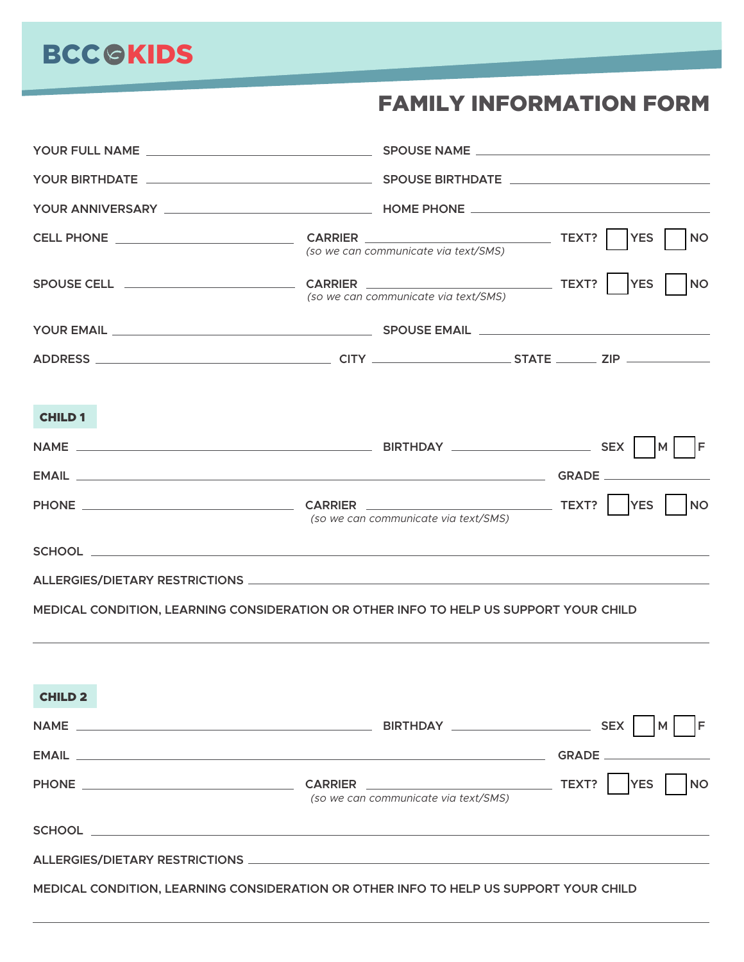## FAMILY INFORMATION FORM

|                                                                                       | (so we can communicate via text/SMS) | <b>YES</b><br><b>NO</b> |
|---------------------------------------------------------------------------------------|--------------------------------------|-------------------------|
|                                                                                       | (so we can communicate via text/SMS) | <b>YES</b><br><b>NO</b> |
|                                                                                       |                                      |                         |
|                                                                                       |                                      |                         |
| <b>CHILD 1</b>                                                                        |                                      |                         |
|                                                                                       |                                      | IF.                     |
|                                                                                       |                                      |                         |
|                                                                                       | (so we can communicate via text/SMS) | <b>NO</b>               |
|                                                                                       |                                      |                         |
|                                                                                       |                                      |                         |
| MEDICAL CONDITION, LEARNING CONSIDERATION OR OTHER INFO TO HELP US SUPPORT YOUR CHILD |                                      |                         |
| <b>CHILD 2</b>                                                                        |                                      |                         |
|                                                                                       |                                      | IF<br>M                 |
|                                                                                       |                                      |                         |
|                                                                                       | (so we can communicate via text/SMS) | <b>YES</b><br><b>NO</b> |
|                                                                                       |                                      |                         |
|                                                                                       |                                      |                         |

**MEDICAL CONDITION, LEARNING CONSIDERATION OR OTHER INFO TO HELP US SUPPORT YOUR CHILD**